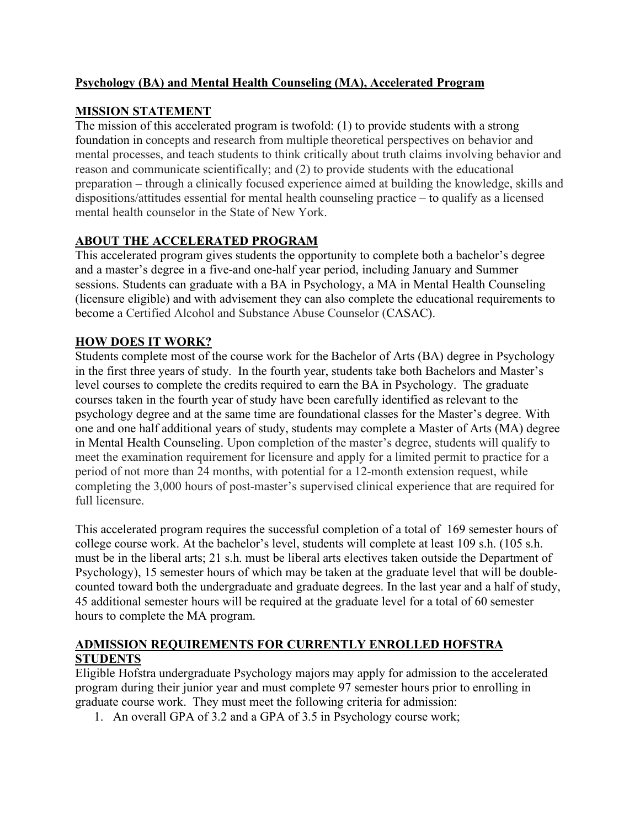## **Psychology (BA) and Mental Health Counseling (MA), Accelerated Program**

## **MISSION STATEMENT**

 The mission of this accelerated program is twofold: (1) to provide students with a strong foundation in concepts and research from multiple theoretical perspectives on behavior and mental processes, and teach students to think critically about truth claims involving behavior and reason and communicate scientifically; and (2) to provide students with the educational preparation – through a clinically focused experience aimed at building the knowledge, skills and dispositions/attitudes essential for mental health counseling practice – to qualify as a licensed mental health counselor in the State of New York.

## **ABOUT THE ACCELERATED PROGRAM**

 This accelerated program gives students the opportunity to complete both a bachelor's degree and a master's degree in a five-and one-half year period, including January and Summer sessions. Students can graduate with a BA in Psychology, a MA in Mental Health Counseling (licensure eligible) and with advisement they can also complete the educational requirements to become a Certified Alcohol and Substance Abuse Counselor (CASAC).

### **HOW DOES IT WORK?**

 Students complete most of the course work for the Bachelor of Arts (BA) degree in Psychology in the first three years of study. In the fourth year, students take both Bachelors and Master's level courses to complete the credits required to earn the BA in Psychology. The graduate courses taken in the fourth year of study have been carefully identified as relevant to the psychology degree and at the same time are foundational classes for the Master's degree. With one and one half additional years of study, students may complete a Master of Arts (MA) degree in Mental Health Counseling. Upon completion of the master's degree, students will qualify to meet the examination requirement for licensure and apply for a limited permit to practice for a period of not more than 24 months, with potential for a 12-month extension request, while completing the 3,000 hours of post-master's supervised clinical experience that are required for full licensure.

 This accelerated program requires the successful completion of a total of 169 semester hours of college course work. At the bachelor's level, students will complete at least 109 s.h. (105 s.h. must be in the liberal arts; 21 s.h. must be liberal arts electives taken outside the Department of Psychology), 15 semester hours of which may be taken at the graduate level that will be double- counted toward both the undergraduate and graduate degrees. In the last year and a half of study, 45 additional semester hours will be required at the graduate level for a total of 60 semester hours to complete the MA program.

## **ADMISSION REQUIREMENTS FOR CURRENTLY ENROLLED HOFSTRA STUDENTS**

 Eligible Hofstra undergraduate Psychology majors may apply for admission to the accelerated program during their junior year and must complete 97 semester hours prior to enrolling in graduate course work. They must meet the following criteria for admission:

1. An overall GPA of 3.2 and a GPA of 3.5 in Psychology course work;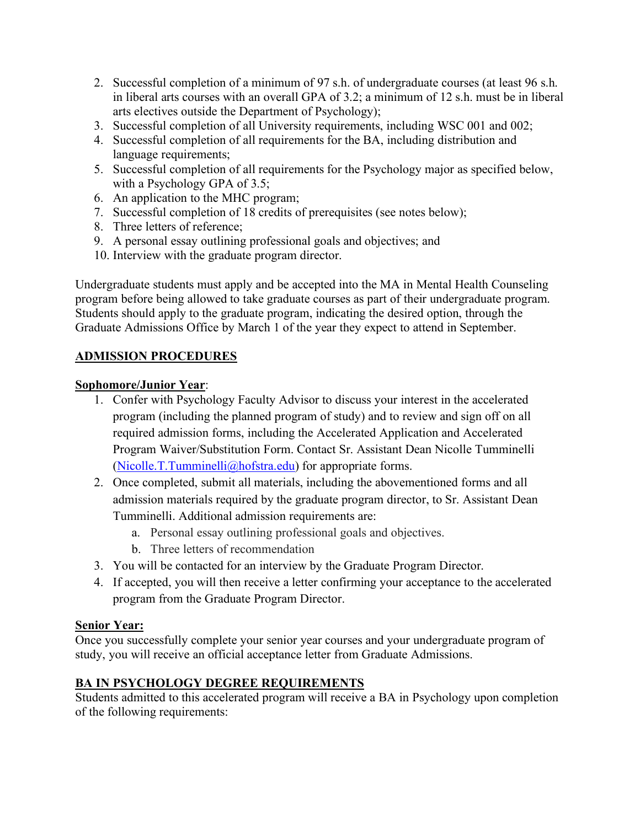- 2. Successful completion of a minimum of 97 s.h. of undergraduate courses (at least 96 s.h. in liberal arts courses with an overall GPA of 3.2; a minimum of 12 s.h. must be in liberal arts electives outside the Department of Psychology);
- 3. Successful completion of all University requirements, including WSC 001 and 002;
- 4. Successful completion of all requirements for the BA, including distribution and language requirements;
- 5. Successful completion of all requirements for the Psychology major as specified below, with a Psychology GPA of 3.5;
- 6. An application to the MHC program;
- 7. Successful completion of 18 credits of prerequisites (see notes below);
- 8. Three letters of reference;
- 9. A personal essay outlining professional goals and objectives; and
- 10. Interview with the graduate program director.

 Undergraduate students must apply and be accepted into the MA in Mental Health Counseling program before being allowed to take graduate courses as part of their undergraduate program. Students should apply to the graduate program, indicating the desired option, through the Graduate Admissions Office by March 1 of the year they expect to attend in September.

## **ADMISSION PROCEDURES**

## **Sophomore/Junior Year**:

- 1. Confer with Psychology Faculty Advisor to discuss your interest in the accelerated program (including the planned program of study) and to review and sign off on all required admission forms, including the Accelerated Application and Accelerated Program Waiver/Substitution Form. Contact Sr. Assistant Dean Nicolle Tumminelli ([Nicolle.T.Tumminelli@hofstra.edu](mailto:Nicolle.T.Tumminelli@hofstra.edu)) for appropriate forms.
- 2. Once completed, submit all materials, including the abovementioned forms and all admission materials required by the graduate program director, to Sr. Assistant Dean Tumminelli. Additional admission requirements are:
	- a. Personal essay outlining professional goals and objectives.
	- b. Three letters of recommendation
- 3. You will be contacted for an interview by the Graduate Program Director.
- 4. If accepted, you will then receive a letter confirming your acceptance to the accelerated program from the Graduate Program Director.

## **Senior Year:**

 Once you successfully complete your senior year courses and your undergraduate program of study, you will receive an official acceptance letter from Graduate Admissions.

## **BA IN PSYCHOLOGY DEGREE REQUIREMENTS**

 Students admitted to this accelerated program will receive a BA in Psychology upon completion of the following requirements: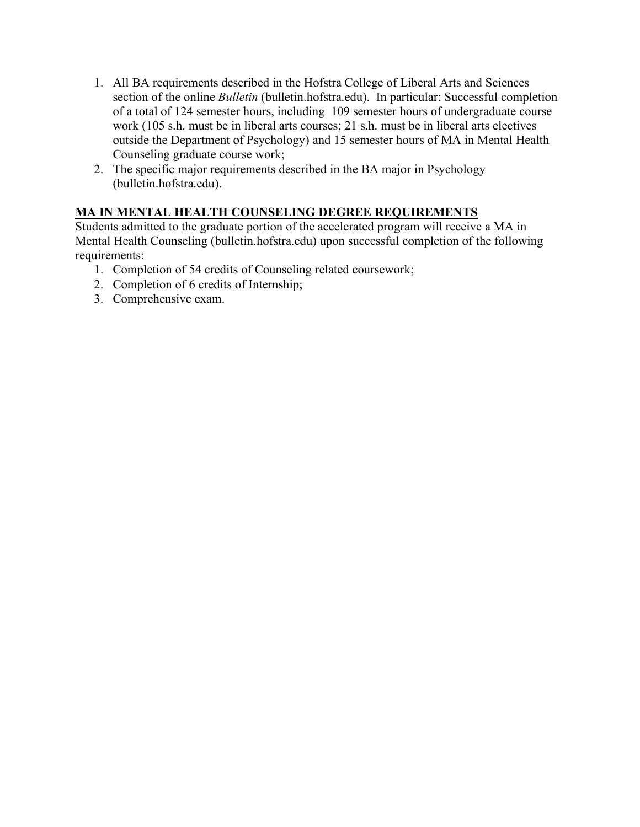- 1. All BA requirements described in the Hofstra College of Liberal Arts and Sciences section of the online *Bulletin* ([bulletin.hofstra.edu](https://bulletin.hofstra.edu)). In particular: Successful completion of a total of 124 semester hours, including 109 semester hours of undergraduate course work (105 s.h. must be in liberal arts courses; 21 s.h. must be in liberal arts electives outside the Department of Psychology) and 15 semester hours of MA in Mental Health Counseling graduate course work;
- 2. The specific major requirements described in the BA major in Psychology ([bulletin.hofstra.edu](https://bulletin.hofstra.edu)).

# **MA IN MENTAL HEALTH COUNSELING DEGREE REQUIREMENTS**

 Students admitted to the graduate portion of the accelerated program will receive a MA in Mental Health Counseling ([bulletin.hofstra.edu](https://bulletin.hofstra.edu)) upon successful completion of the following requirements:

- 1. Completion of 54 credits of Counseling related coursework;
- 2. Completion of 6 credits of Internship;
- 3. Comprehensive exam.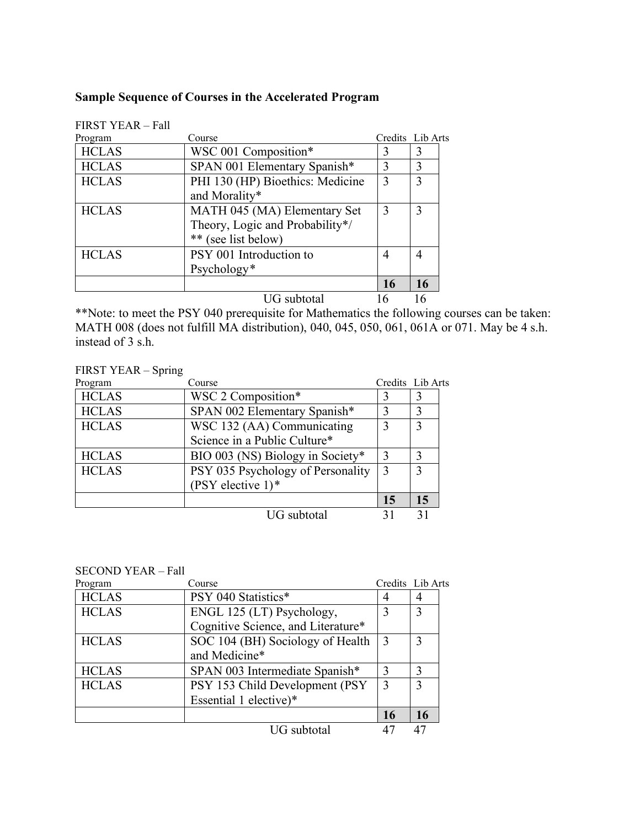### **Sample Sequence of Courses in the Accelerated Program**

| Program      | Course                           | Credits Lib Arts |    |
|--------------|----------------------------------|------------------|----|
| <b>HCLAS</b> | WSC 001 Composition*             | 3                | 3  |
| <b>HCLAS</b> | SPAN 001 Elementary Spanish*     | 3                | 3  |
| <b>HCLAS</b> | PHI 130 (HP) Bioethics: Medicine | 3                | 3  |
|              | and Morality*                    |                  |    |
| <b>HCLAS</b> | MATH 045 (MA) Elementary Set     | 3                | 3  |
|              | Theory, Logic and Probability*/  |                  |    |
|              | ** (see list below)              |                  |    |
| <b>HCLAS</b> | PSY 001 Introduction to          | 4                | 4  |
|              | Psychology*                      |                  |    |
|              |                                  | <b>16</b>        | 16 |
|              | UG subtotal                      | 6                |    |

FIRST YEAR – Fall

 MATH 008 (does not fulfill MA distribution), 040, 045, 050, 061, 061A or 071. May be 4 s.h. instead of 3 s.h. \*\*Note: to meet the PSY 040 prerequisite for Mathematics the following courses can be taken:

### FIRST YEAR – Spring

| Program      | Course                            |             | Credits Lib Arts |
|--------------|-----------------------------------|-------------|------------------|
| <b>HCLAS</b> | WSC 2 Composition*                |             | 3                |
| <b>HCLAS</b> | SPAN 002 Elementary Spanish*      | $\mathbf 3$ | 3                |
| <b>HCLAS</b> | WSC 132 (AA) Communicating        | 3           | 3                |
|              | Science in a Public Culture*      |             |                  |
| <b>HCLAS</b> | BIO 003 (NS) Biology in Society*  | 3           | 3                |
| <b>HCLAS</b> | PSY 035 Psychology of Personality | 3           | $\mathcal{E}$    |
|              | (PSY elective $1$ )*              |             |                  |
|              |                                   | 15          | 15               |
|              | <b>UG</b> subtotal                | 31          |                  |

#### SECOND YEAR – Fall

| Program      | Course                             |               | Credits Lib Arts |
|--------------|------------------------------------|---------------|------------------|
| <b>HCLAS</b> | PSY 040 Statistics*                |               | 4                |
| <b>HCLAS</b> | ENGL 125 (LT) Psychology,          | 3             | 3                |
|              | Cognitive Science, and Literature* |               |                  |
| <b>HCLAS</b> | SOC 104 (BH) Sociology of Health   | 3             | 3                |
|              | and Medicine*                      |               |                  |
| <b>HCLAS</b> | SPAN 003 Intermediate Spanish*     | $\mathcal{E}$ | 3                |
| <b>HCLAS</b> | PSY 153 Child Development (PSY     | 3             | 3                |
|              | Essential 1 elective)*             |               |                  |
|              |                                    | 16            | 16               |
|              | <b>UG</b> subtotal                 |               |                  |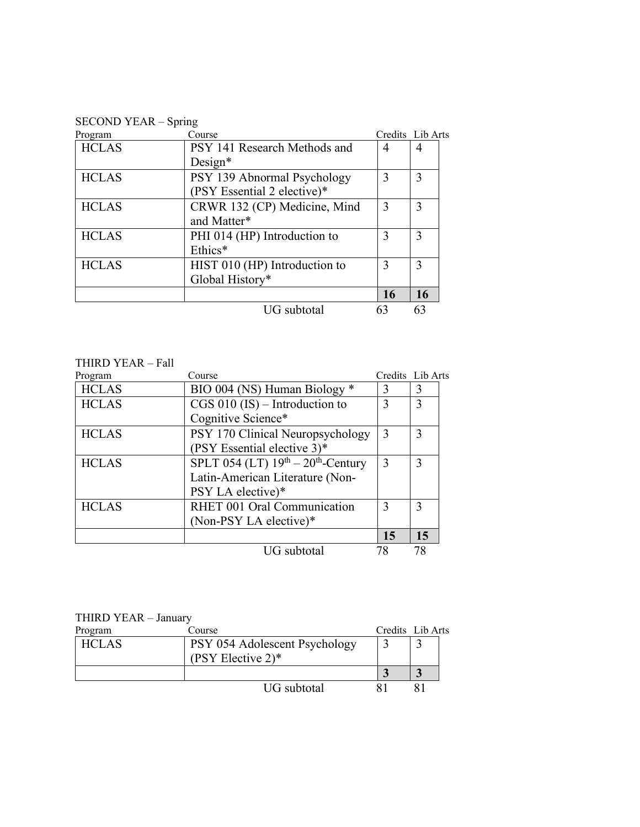SECOND YEAR – Spring

| Program      | Course                        |    | Credits Lib Arts |
|--------------|-------------------------------|----|------------------|
| <b>HCLAS</b> | PSY 141 Research Methods and  | 4  | 4                |
|              | $Design*$                     |    |                  |
| <b>HCLAS</b> | PSY 139 Abnormal Psychology   | 3  | 3                |
|              | (PSY Essential 2 elective)*   |    |                  |
| <b>HCLAS</b> | CRWR 132 (CP) Medicine, Mind  | 3  | 3                |
|              | and Matter*                   |    |                  |
| <b>HCLAS</b> | PHI 014 (HP) Introduction to  | 3  | 3                |
|              | Ethics*                       |    |                  |
| <b>HCLAS</b> | HIST 010 (HP) Introduction to | 3  | 3                |
|              | Global History*               |    |                  |
|              |                               | 16 | 16               |
|              | UG subtotal                   | 63 | 63               |

#### THIRD YEAR – Fall

| Program      | Course                               |               | Credits Lib Arts |
|--------------|--------------------------------------|---------------|------------------|
| <b>HCLAS</b> | BIO 004 (NS) Human Biology *         | 3             | 3                |
| <b>HCLAS</b> | $CGS 010 (IS) - Introduction to$     | 3             | 3                |
|              | Cognitive Science*                   |               |                  |
| <b>HCLAS</b> | PSY 170 Clinical Neuropsychology     | 3             | 3                |
|              | (PSY Essential elective 3)*          |               |                  |
| <b>HCLAS</b> | SPLT 054 (LT) $19th - 20th$ -Century | 3             | 3                |
|              | Latin-American Literature (Non-      |               |                  |
|              | PSY LA elective)*                    |               |                  |
| <b>HCLAS</b> | RHET 001 Oral Communication          | $\mathcal{E}$ | 3                |
|              | (Non-PSY LA elective)*               |               |                  |
|              |                                      | 15            | 15               |
|              | <b>UG</b> subtotal                   | 78            | 78               |

#### THIRD YEAR – January

| Program      | Course                        | Credits Lib Arts |
|--------------|-------------------------------|------------------|
| <b>HCLAS</b> | PSY 054 Adolescent Psychology |                  |
|              | (PSY Elective $2$ )*          |                  |
|              |                               |                  |
|              | UG subtotal                   |                  |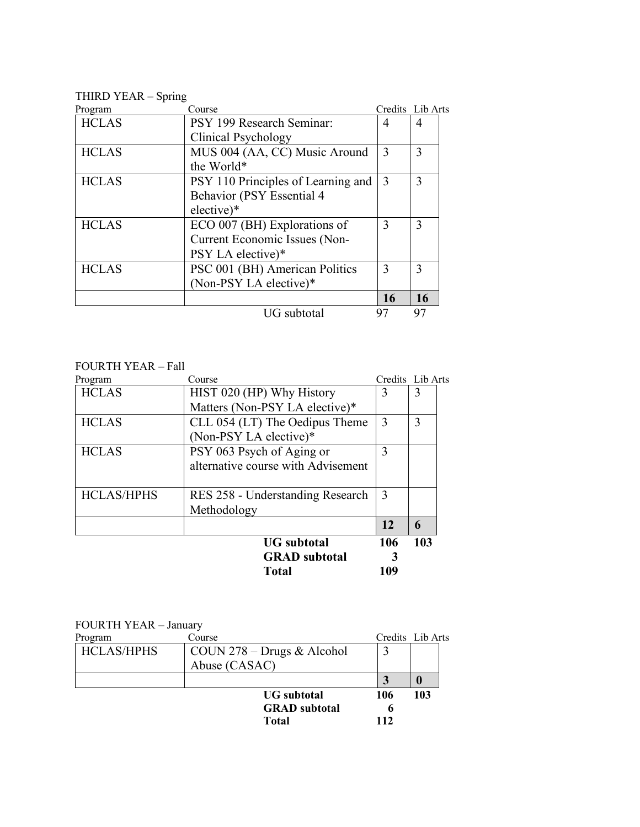#### THIRD YEAR – Spring

| Program      | Course                             |    | Credits Lib Arts |
|--------------|------------------------------------|----|------------------|
| <b>HCLAS</b> | PSY 199 Research Seminar:          | 4  | 4                |
|              | Clinical Psychology                |    |                  |
| <b>HCLAS</b> | MUS 004 (AA, CC) Music Around      | 3  | 3                |
|              | the World*                         |    |                  |
| <b>HCLAS</b> | PSY 110 Principles of Learning and | 3  | 3                |
|              | Behavior (PSY Essential 4          |    |                  |
|              | elective)*                         |    |                  |
| <b>HCLAS</b> | ECO 007 (BH) Explorations of       | 3  | 3                |
|              | Current Economic Issues (Non-      |    |                  |
|              | PSY LA elective)*                  |    |                  |
| <b>HCLAS</b> | PSC 001 (BH) American Politics     | 3  | 3                |
|              | (Non-PSY LA elective)*             |    |                  |
|              |                                    | 16 | <b>16</b>        |
|              | UG subtotal                        | 97 | 97               |

#### FOURTH YEAR – Fall

| 3   | 3   |
|-----|-----|
|     |     |
|     |     |
| 3   | 3   |
|     |     |
| 3   |     |
|     |     |
|     |     |
| 3   |     |
|     |     |
| 12  | 6   |
| 106 | 103 |
|     |     |
|     |     |
|     |     |

| <b>FOURTH YEAR - January</b> |                                             |     |                  |
|------------------------------|---------------------------------------------|-----|------------------|
| Program                      | Course                                      |     | Credits Lib Arts |
| <b>HCLAS/HPHS</b>            | COUN $278 - \text{Drugs} \& \text{Alcohol}$ |     |                  |
|                              | Abuse (CASAC)                               |     |                  |
|                              |                                             |     | $\bf{0}$         |
|                              | <b>UG</b> subtotal                          | 106 | 103              |
|                              | <b>GRAD</b> subtotal                        | 6   |                  |
|                              | <b>Total</b>                                | 112 |                  |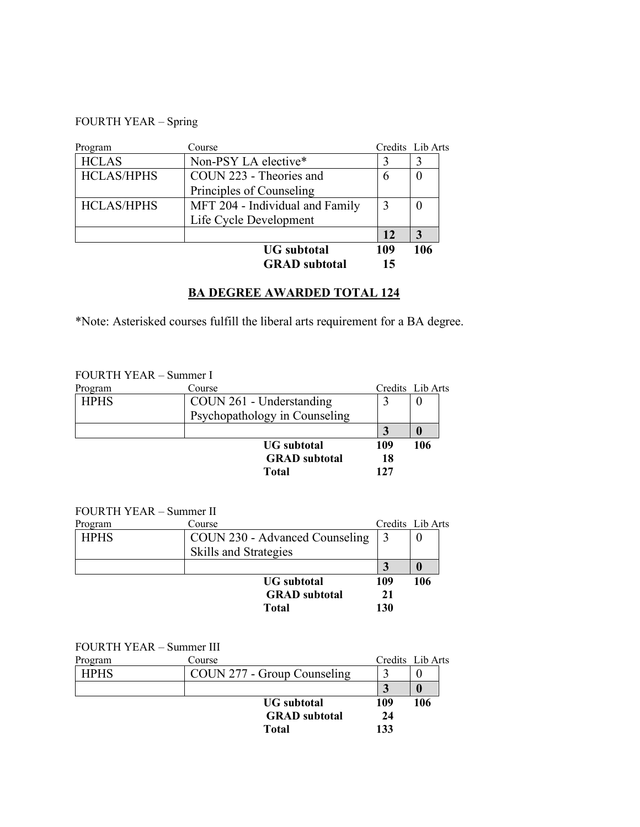#### FOURTH YEAR – Spring

| Program           | Course                          |     | Credits Lib Arts |
|-------------------|---------------------------------|-----|------------------|
| <b>HCLAS</b>      | Non-PSY LA elective*            |     |                  |
| <b>HCLAS/HPHS</b> | COUN 223 - Theories and         | 6   | $\theta$         |
|                   | Principles of Counseling        |     |                  |
| <b>HCLAS/HPHS</b> | MFT 204 - Individual and Family |     |                  |
|                   | Life Cycle Development          |     |                  |
|                   |                                 | 12  | 3                |
|                   | <b>UG</b> subtotal              | 109 | 106              |
|                   | <b>GRAD</b> subtotal            | 15  |                  |

### **BA DEGREE AWARDED TOTAL 124**

\*Note: Asterisked courses fulfill the liberal arts requirement for a BA degree.

#### FOURTH YEAR – Summer I

| Program     | Course                        |     | Credits Lib Arts |
|-------------|-------------------------------|-----|------------------|
| <b>HPHS</b> | COUN 261 - Understanding      |     |                  |
|             | Psychopathology in Counseling |     |                  |
|             |                               |     |                  |
|             | <b>UG</b> subtotal            | 109 | 106              |
|             | <b>GRAD</b> subtotal          | 18  |                  |
|             | Total                         | 127 |                  |

#### FOURTH YEAR – Summer II

| Program     | Course                         |     | Credits Lib Arts |
|-------------|--------------------------------|-----|------------------|
| <b>HPHS</b> | COUN 230 - Advanced Counseling |     |                  |
|             | <b>Skills and Strategies</b>   |     |                  |
|             |                                |     |                  |
|             | <b>UG</b> subtotal             | 109 | 106              |
|             | <b>GRAD</b> subtotal           | 21  |                  |
|             | <b>Total</b>                   | 130 |                  |

#### FOURTH YEAR – Summer III

| Program     | Course                      |     | Credits Lib Arts |
|-------------|-----------------------------|-----|------------------|
| <b>HPHS</b> | COUN 277 - Group Counseling |     |                  |
|             |                             |     |                  |
|             | <b>UG</b> subtotal          | 109 | 106              |
|             | <b>GRAD</b> subtotal        | 24  |                  |
|             | Total                       | 133 |                  |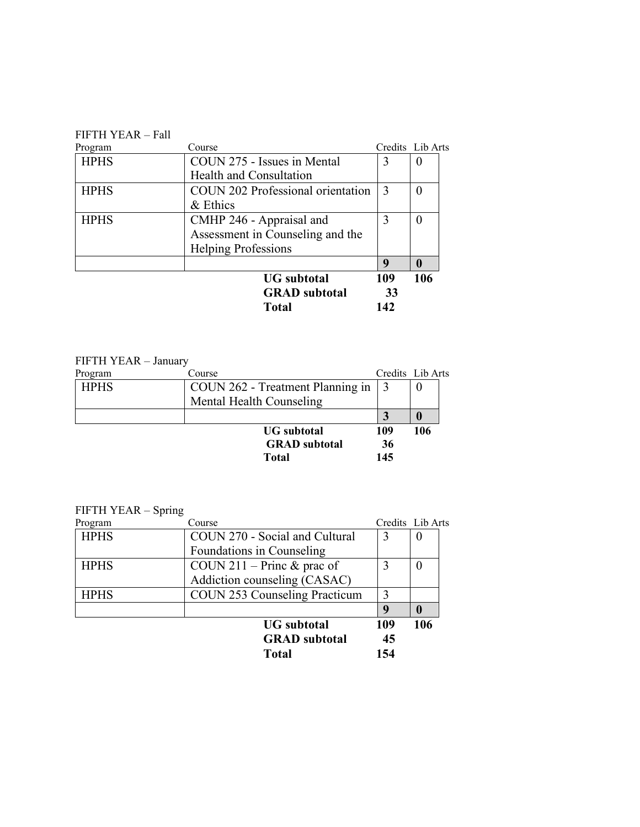#### FIFTH YEAR – Fall

| Program     | Course                                   |     | Credits Lib Arts |
|-------------|------------------------------------------|-----|------------------|
| <b>HPHS</b> | COUN 275 - Issues in Mental              | 3   | $\theta$         |
|             | Health and Consultation                  |     |                  |
| <b>HPHS</b> | <b>COUN 202 Professional orientation</b> | 3   |                  |
|             | $&$ Ethics                               |     |                  |
| <b>HPHS</b> | CMHP 246 - Appraisal and                 | 3   | $\theta$         |
|             | Assessment in Counseling and the         |     |                  |
|             | <b>Helping Professions</b>               |     |                  |
|             |                                          | 9   | $\mathbf{0}$     |
|             | <b>UG</b> subtotal                       | 109 | 106              |
|             | <b>GRAD</b> subtotal                     | 33  |                  |
|             | <b>Total</b>                             | 142 |                  |

### HPHS  $\vert$  COUN 262 - Treatment Planning in  $\vert$  3  $\vert$  0 FIFTH YEAR – January Program Course Course Course Credits Lib Arts Mental Health Counseling  $\begin{array}{|c|c|c|}\n \hline\n 3 & 0 \\
\hline\n 109 & 106\n \end{array}$ **UG** subtotal 109 **GRAD subtotal 36 Total 145**

#### FIFTH YEAR – Spring

|             | <b>UG</b> subtotal<br><b>GRAD</b> subtotal<br><b>Total</b>   | q<br>109<br>45   | 106      |
|-------------|--------------------------------------------------------------|------------------|----------|
| <b>HPHS</b> | <b>COUN 253 Counseling Practicum</b>                         |                  |          |
| <b>HPHS</b> | COUN 211 – Princ $&$ prac of<br>Addiction counseling (CASAC) | 3                | $\theta$ |
|             | Foundations in Counseling                                    |                  |          |
| <b>HPHS</b> | COUN 270 - Social and Cultural                               | 3                | $\theta$ |
| Program     | Course                                                       | Credits Lib Arts |          |